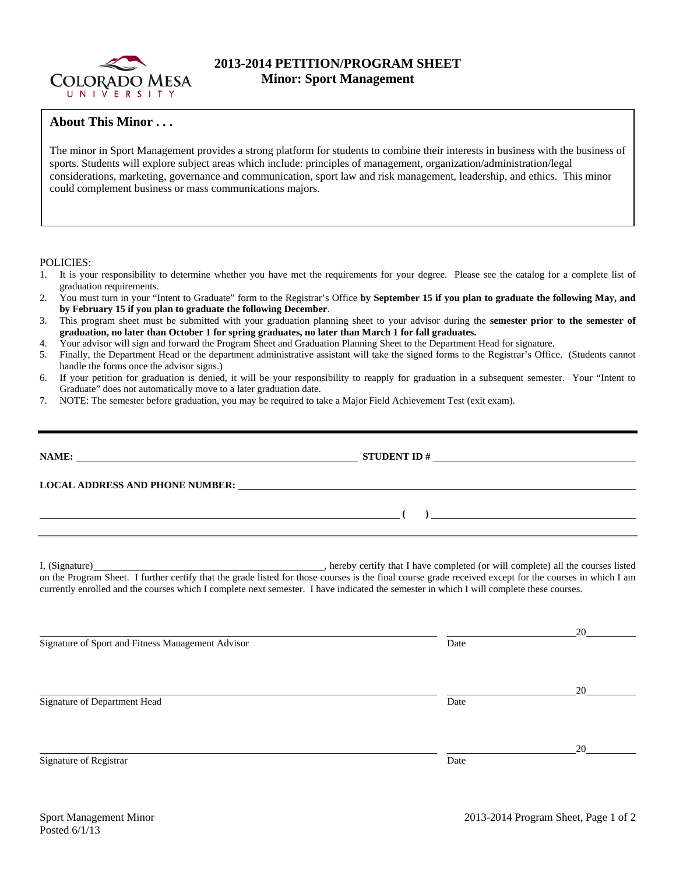

## **2013-2014 PETITION/PROGRAM SHEET Minor: Sport Management**

## **About This Minor . . .**

The minor in Sport Management provides a strong platform for students to combine their interests in business with the business of sports. Students will explore subject areas which include: principles of management, organization/administration/legal considerations, marketing, governance and communication, sport law and risk management, leadership, and ethics. This minor could complement business or mass communications majors.

POLICIES:

- 1. It is your responsibility to determine whether you have met the requirements for your degree. Please see the catalog for a complete list of graduation requirements.
- 2. You must turn in your "Intent to Graduate" form to the Registrar's Office **by September 15 if you plan to graduate the following May, and by February 15 if you plan to graduate the following December**.
- 3. This program sheet must be submitted with your graduation planning sheet to your advisor during the **semester prior to the semester of graduation, no later than October 1 for spring graduates, no later than March 1 for fall graduates.**
- 4. Your advisor will sign and forward the Program Sheet and Graduation Planning Sheet to the Department Head for signature.
- 5. Finally, the Department Head or the department administrative assistant will take the signed forms to the Registrar's Office. (Students cannot handle the forms once the advisor signs.)
- 6. If your petition for graduation is denied, it will be your responsibility to reapply for graduation in a subsequent semester. Your "Intent to Graduate" does not automatically move to a later graduation date.
- 7. NOTE: The semester before graduation, you may be required to take a Major Field Achievement Test (exit exam).

| NAME:                                                                                                                |                |  |  |  |  |
|----------------------------------------------------------------------------------------------------------------------|----------------|--|--|--|--|
| LOCAL ADDRESS AND PHONE NUMBER:                                                                                      |                |  |  |  |  |
| <u> 1980 - Andrea Barbara, poeta esperanto-poeta esperanto-poeta esperanto-poeta esperanto-poeta esperanto-poeta</u> | $\overline{a}$ |  |  |  |  |
|                                                                                                                      |                |  |  |  |  |

I, (Signature) , hereby certify that I have completed (or will complete) all the courses listed on the Program Sheet. I further certify that the grade listed for those courses is the final course grade received except for the courses in which I am currently enrolled and the courses which I complete next semester. I have indicated the semester in which I will complete these courses.

Signature of Sport and Fitness Management Advisor Date

Signature of Department Head Date Date of Department Head

Signature of Registrar Date Date and Security and Security and Security and Security and Security and Security and Security and Security and Security and Security and Security and Security and Security and Security and Sec

<u>20</u>

<u>20</u>

<u>20</u>

Posted 6/1/13